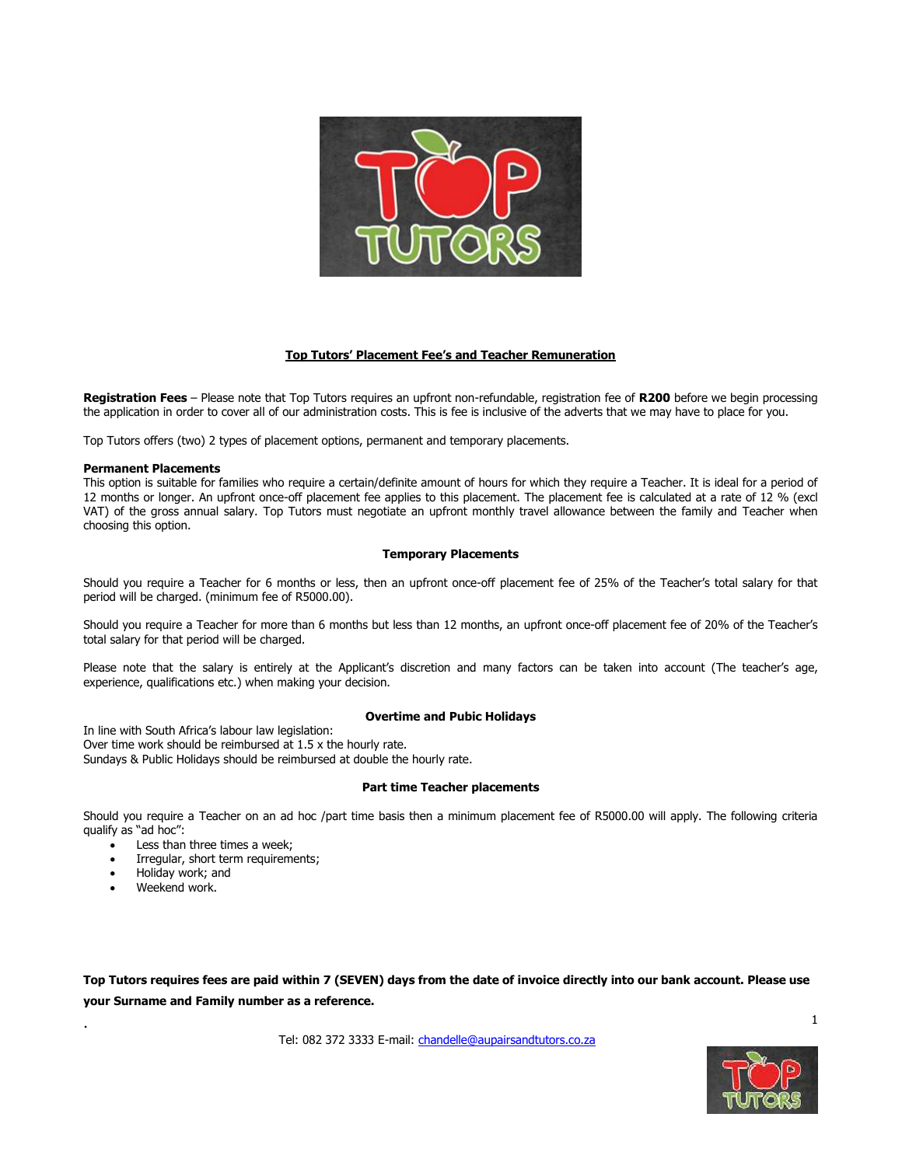

# **Top Tutors' Placement Fee's and Teacher Remuneration**

**Registration Fees** – Please note that Top Tutors requires an upfront non-refundable, registration fee of **R200** before we begin processing the application in order to cover all of our administration costs. This is fee is inclusive of the adverts that we may have to place for you.

Top Tutors offers (two) 2 types of placement options, permanent and temporary placements.

#### **Permanent Placements**

This option is suitable for families who require a certain/definite amount of hours for which they require a Teacher. It is ideal for a period of 12 months or longer. An upfront once-off placement fee applies to this placement. The placement fee is calculated at a rate of 12 % (excl VAT) of the gross annual salary. Top Tutors must negotiate an upfront monthly travel allowance between the family and Teacher when choosing this option.

# **Temporary Placements**

Should you require a Teacher for 6 months or less, then an upfront once-off placement fee of 25% of the Teacher's total salary for that period will be charged. (minimum fee of R5000.00).

Should you require a Teacher for more than 6 months but less than 12 months, an upfront once-off placement fee of 20% of the Teacher's total salary for that period will be charged.

Please note that the salary is entirely at the Applicant's discretion and many factors can be taken into account (The teacher's age, experience, qualifications etc.) when making your decision.

# **Overtime and Pubic Holidays**

In line with South Africa's labour law legislation: Over time work should be reimbursed at 1.5 x the hourly rate. Sundays & Public Holidays should be reimbursed at double the hourly rate.

# **Part time Teacher placements**

Should you require a Teacher on an ad hoc /part time basis then a minimum placement fee of R5000.00 will apply. The following criteria qualify as "ad hoc":

- $\overrightarrow{\cdot}$  Less than three times a week;
- Irregular, short term requirements;
- Holiday work; and
- Weekend work.

.

**Top Tutors requires fees are paid within 7 (SEVEN) days from the date of invoice directly into our bank account. Please use your Surname and Family number as a reference.**

Tel: 082 372 3333 E-mail: [chandelle@aupairsandtutors.co.za](mailto:chandelle@aupairsandtutors.co.za)

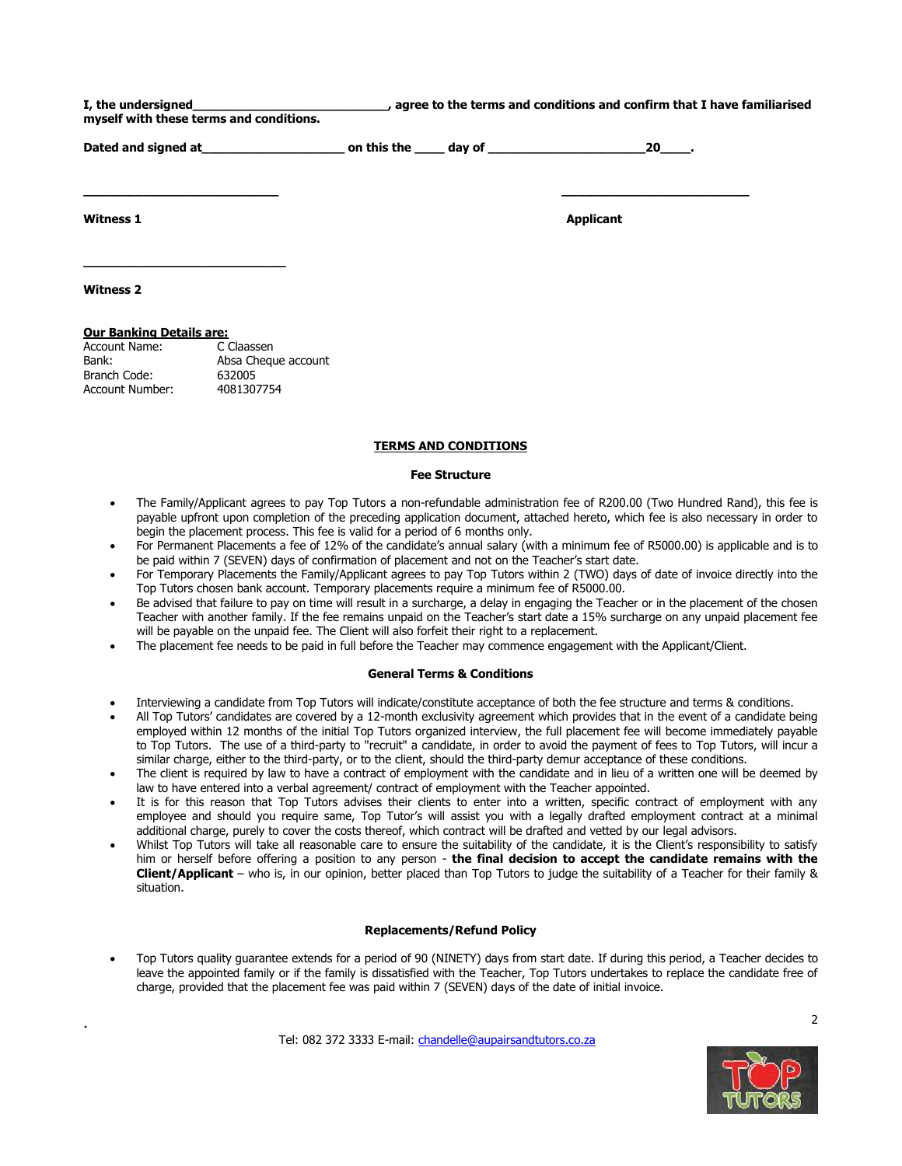| I, the undersigned                      | , agree to the terms and conditions and confirm that I have familiarised |
|-----------------------------------------|--------------------------------------------------------------------------|
| myself with these terms and conditions. |                                                                          |

**Dated and signed at\_\_\_\_\_\_\_\_\_\_\_\_\_\_\_\_\_\_\_ on this the \_\_\_\_ day of \_\_\_\_\_\_\_\_\_\_\_\_\_\_\_\_\_\_\_\_\_20\_\_\_\_.**

**\_\_\_\_\_\_\_\_\_\_\_\_\_\_\_\_\_\_\_\_\_\_\_\_\_\_ \_\_\_\_\_\_\_\_\_\_\_\_\_\_\_\_\_\_\_\_\_\_\_\_\_**

**Witness 1 Applicant Applicant Applicant Applicant Applicant** 

**Witness 2**

.

# **Our Banking Details are:**

**\_\_\_\_\_\_\_\_\_\_\_\_\_\_\_\_\_\_\_\_\_\_\_\_\_\_\_**

| Account Name:   | C Claassen          |
|-----------------|---------------------|
| Bank:           | Absa Cheque account |
| Branch Code:    | 632005              |
| Account Number: | 4081307754          |
|                 |                     |

# **TERMS AND CONDITIONS**

#### **Fee Structure**

- The Family/Applicant agrees to pay Top Tutors a non-refundable administration fee of R200.00 (Two Hundred Rand), this fee is payable upfront upon completion of the preceding application document, attached hereto, which fee is also necessary in order to begin the placement process. This fee is valid for a period of 6 months only.
- For Permanent Placements a fee of 12% of the candidate's annual salary (with a minimum fee of R5000.00) is applicable and is to be paid within 7 (SEVEN) days of confirmation of placement and not on the Teacher's start date.
- For Temporary Placements the Family/Applicant agrees to pay Top Tutors within 2 (TWO) days of date of invoice directly into the Top Tutors chosen bank account. Temporary placements require a minimum fee of R5000.00.
- Be advised that failure to pay on time will result in a surcharge, a delay in engaging the Teacher or in the placement of the chosen Teacher with another family. If the fee remains unpaid on the Teacher's start date a 15% surcharge on any unpaid placement fee will be payable on the unpaid fee. The Client will also forfeit their right to a replacement.
- The placement fee needs to be paid in full before the Teacher may commence engagement with the Applicant/Client.

#### **General Terms & Conditions**

- Interviewing a candidate from Top Tutors will indicate/constitute acceptance of both the fee structure and terms & conditions.
- All Top Tutors' candidates are covered by a 12-month exclusivity agreement which provides that in the event of a candidate being employed within 12 months of the initial Top Tutors organized interview, the full placement fee will become immediately payable to Top Tutors. The use of a third-party to "recruit" a candidate, in order to avoid the payment of fees to Top Tutors, will incur a similar charge, either to the third-party, or to the client, should the third-party demur acceptance of these conditions.
- The client is required by law to have a contract of employment with the candidate and in lieu of a written one will be deemed by law to have entered into a verbal agreement/ contract of employment with the Teacher appointed.
- It is for this reason that Top Tutors advises their clients to enter into a written, specific contract of employment with any employee and should you require same, Top Tutor's will assist you with a legally drafted employment contract at a minimal additional charge, purely to cover the costs thereof, which contract will be drafted and vetted by our legal advisors.
- Whilst Top Tutors will take all reasonable care to ensure the suitability of the candidate, it is the Client's responsibility to satisfy him or herself before offering a position to any person - **the final decision to accept the candidate remains with the Client/Applicant** – who is, in our opinion, better placed than Top Tutors to judge the suitability of a Teacher for their family & situation.

# **Replacements/Refund Policy**

 Top Tutors quality guarantee extends for a period of 90 (NINETY) days from start date. If during this period, a Teacher decides to leave the appointed family or if the family is dissatisfied with the Teacher, Top Tutors undertakes to replace the candidate free of charge, provided that the placement fee was paid within 7 (SEVEN) days of the date of initial invoice.

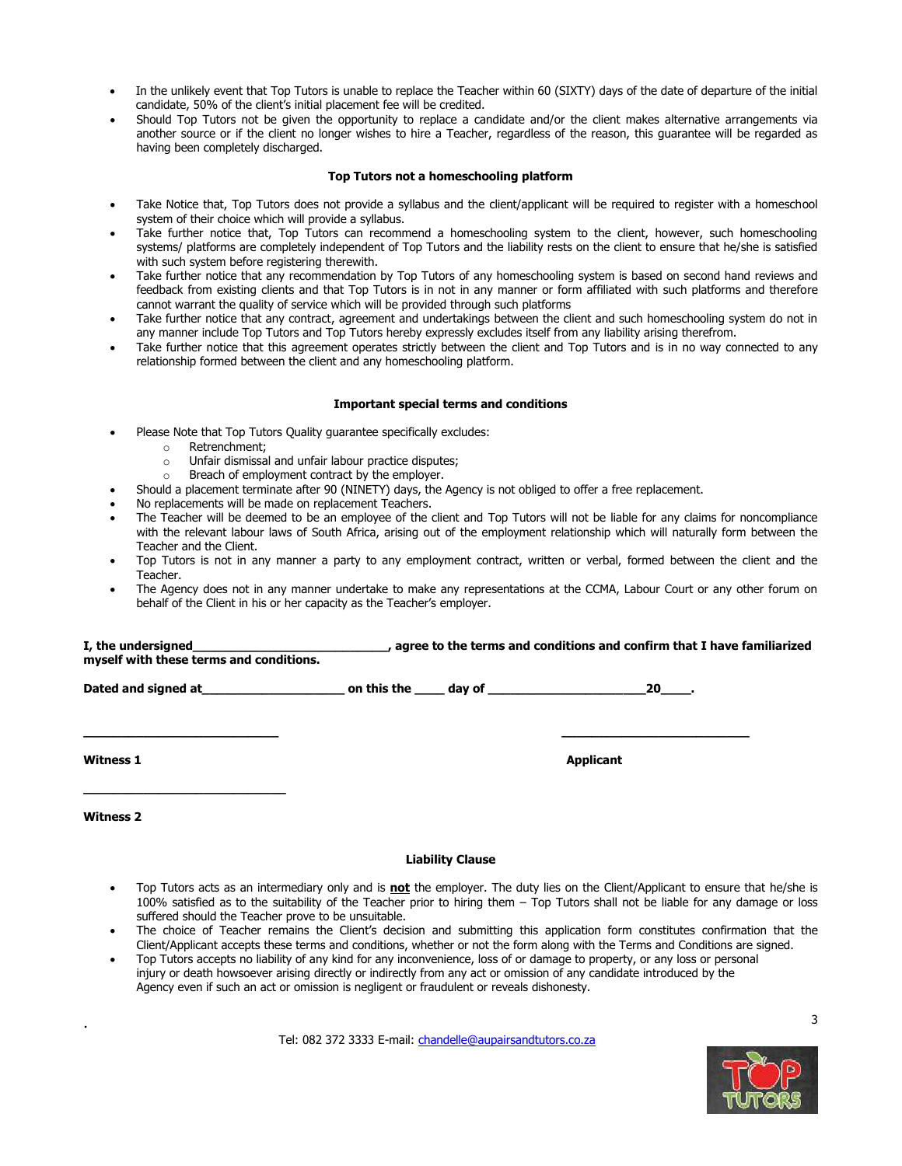- In the unlikely event that Top Tutors is unable to replace the Teacher within 60 (SIXTY) days of the date of departure of the initial candidate, 50% of the client's initial placement fee will be credited.
- Should Top Tutors not be given the opportunity to replace a candidate and/or the client makes alternative arrangements via another source or if the client no longer wishes to hire a Teacher, regardless of the reason, this guarantee will be regarded as having been completely discharged.

# **Top Tutors not a homeschooling platform**

- Take Notice that, Top Tutors does not provide a syllabus and the client/applicant will be required to register with a homeschool system of their choice which will provide a syllabus.
- Take further notice that, Top Tutors can recommend a homeschooling system to the client, however, such homeschooling systems/ platforms are completely independent of Top Tutors and the liability rests on the client to ensure that he/she is satisfied with such system before registering therewith.
- Take further notice that any recommendation by Top Tutors of any homeschooling system is based on second hand reviews and feedback from existing clients and that Top Tutors is in not in any manner or form affiliated with such platforms and therefore cannot warrant the quality of service which will be provided through such platforms
- Take further notice that any contract, agreement and undertakings between the client and such homeschooling system do not in any manner include Top Tutors and Top Tutors hereby expressly excludes itself from any liability arising therefrom.
- Take further notice that this agreement operates strictly between the client and Top Tutors and is in no way connected to any relationship formed between the client and any homeschooling platform.

# **Important special terms and conditions**

- Please Note that Top Tutors Quality guarantee specifically excludes:
	- o Retrenchment;
	- o Unfair dismissal and unfair labour practice disputes;
	- o Breach of employment contract by the employer.
- Should a placement terminate after 90 (NINETY) days, the Agency is not obliged to offer a free replacement.
- No replacements will be made on replacement Teachers.
- The Teacher will be deemed to be an employee of the client and Top Tutors will not be liable for any claims for noncompliance with the relevant labour laws of South Africa, arising out of the employment relationship which will naturally form between the Teacher and the Client.
- Top Tutors is not in any manner a party to any employment contract, written or verbal, formed between the client and the Teacher.
- The Agency does not in any manner undertake to make any representations at the CCMA, Labour Court or any other forum on behalf of the Client in his or her capacity as the Teacher's employer.

| I, the undersigned<br>myself with these terms and conditions. | , agree to the terms and conditions and confirm that I have familiarized |        |  |    |  |
|---------------------------------------------------------------|--------------------------------------------------------------------------|--------|--|----|--|
| Dated and signed at                                           | on this the                                                              | dav of |  | 20 |  |

**\_\_\_\_\_\_\_\_\_\_\_\_\_\_\_\_\_\_\_\_\_\_\_\_\_\_ \_\_\_\_\_\_\_\_\_\_\_\_\_\_\_\_\_\_\_\_\_\_\_\_\_**

**Witness 1 Applicant Applicant Applicant Applicant Applicant Applicant** 

**Witness 2**

**\_\_\_\_\_\_\_\_\_\_\_\_\_\_\_\_\_\_\_\_\_\_\_\_\_\_\_**

.

# **Liability Clause**

- Top Tutors acts as an intermediary only and is **not** the employer. The duty lies on the Client/Applicant to ensure that he/she is 100% satisfied as to the suitability of the Teacher prior to hiring them – Top Tutors shall not be liable for any damage or loss suffered should the Teacher prove to be unsuitable.
- The choice of Teacher remains the Client's decision and submitting this application form constitutes confirmation that the Client/Applicant accepts these terms and conditions, whether or not the form along with the Terms and Conditions are signed.
- Top Tutors accepts no liability of any kind for any inconvenience, loss of or damage to property, or any loss or personal injury or death howsoever arising directly or indirectly from any act or omission of any candidate introduced by the Agency even if such an act or omission is negligent or fraudulent or reveals dishonesty.

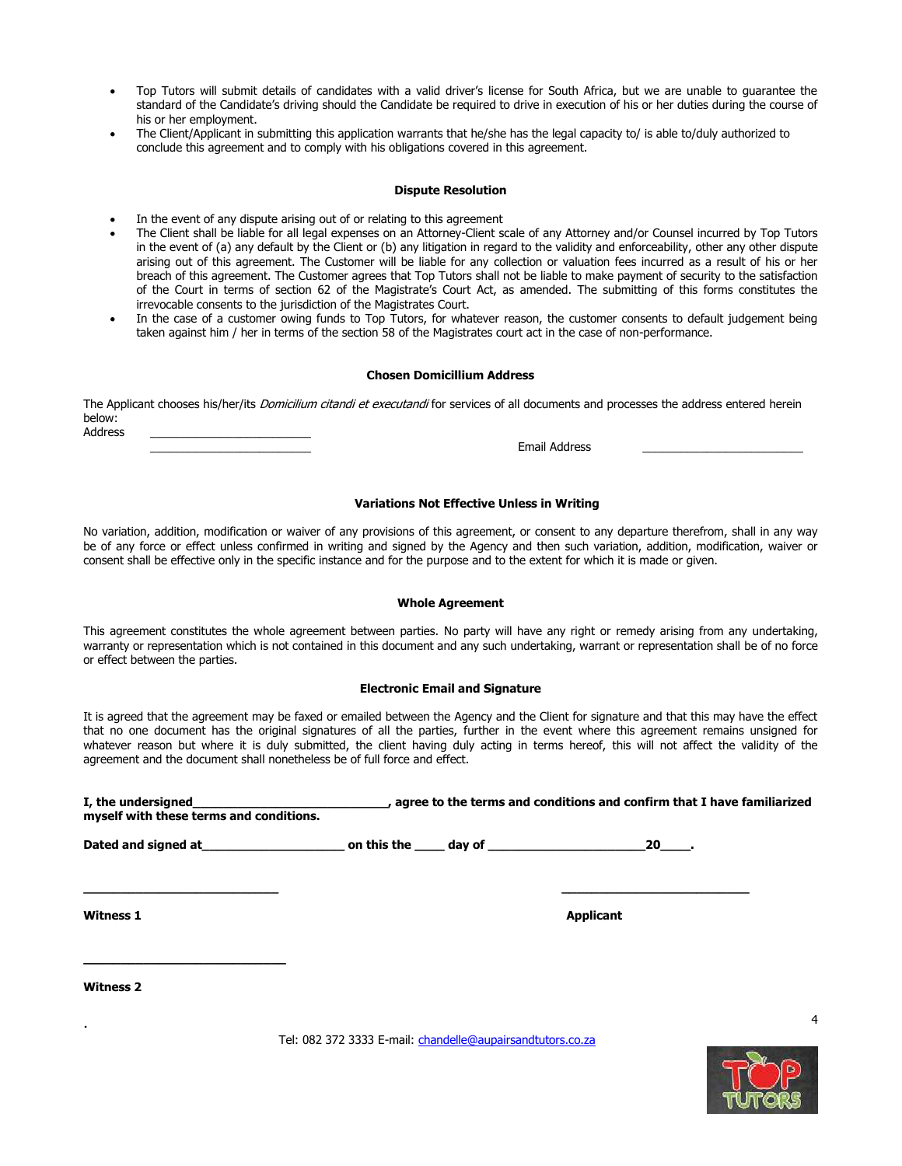- Top Tutors will submit details of candidates with a valid driver's license for South Africa, but we are unable to guarantee the standard of the Candidate's driving should the Candidate be required to drive in execution of his or her duties during the course of his or her employment.
- The Client/Applicant in submitting this application warrants that he/she has the legal capacity to/ is able to/duly authorized to conclude this agreement and to comply with his obligations covered in this agreement.

#### **Dispute Resolution**

- In the event of any dispute arising out of or relating to this agreement
- The Client shall be liable for all legal expenses on an Attorney-Client scale of any Attorney and/or Counsel incurred by Top Tutors in the event of (a) any default by the Client or (b) any litigation in regard to the validity and enforceability, other any other dispute arising out of this agreement. The Customer will be liable for any collection or valuation fees incurred as a result of his or her breach of this agreement. The Customer agrees that Top Tutors shall not be liable to make payment of security to the satisfaction of the Court in terms of section 62 of the Magistrate's Court Act, as amended. The submitting of this forms constitutes the irrevocable consents to the jurisdiction of the Magistrates Court.
- In the case of a customer owing funds to Top Tutors, for whatever reason, the customer consents to default judgement being taken against him / her in terms of the section 58 of the Magistrates court act in the case of non-performance.

#### **Chosen Domicillium Address**

The Applicant chooses his/her/its Domicilium citandi et executandi for services of all documents and processes the address entered herein below: Address \_\_\_\_\_\_\_\_\_\_\_\_\_\_\_\_\_\_\_\_\_\_\_\_\_

Email Address

#### **Variations Not Effective Unless in Writing**

No variation, addition, modification or waiver of any provisions of this agreement, or consent to any departure therefrom, shall in any way be of any force or effect unless confirmed in writing and signed by the Agency and then such variation, addition, modification, waiver or consent shall be effective only in the specific instance and for the purpose and to the extent for which it is made or given.

#### **Whole Agreement**

This agreement constitutes the whole agreement between parties. No party will have any right or remedy arising from any undertaking, warranty or representation which is not contained in this document and any such undertaking, warrant or representation shall be of no force or effect between the parties.

#### **Electronic Email and Signature**

It is agreed that the agreement may be faxed or emailed between the Agency and the Client for signature and that this may have the effect that no one document has the original signatures of all the parties, further in the event where this agreement remains unsigned for whatever reason but where it is duly submitted, the client having duly acting in terms hereof, this will not affect the validity of the agreement and the document shall nonetheless be of full force and effect.

| I, the undersigned<br>myself with these terms and conditions. | , agree to the terms and conditions and confirm that I have familiarized |                                                                                                                |    |  |  |
|---------------------------------------------------------------|--------------------------------------------------------------------------|----------------------------------------------------------------------------------------------------------------|----|--|--|
| Dated and signed at                                           | on this the                                                              | dav of the control of the control of the control of the control of the control of the control of the control o | 20 |  |  |
|                                                               |                                                                          |                                                                                                                |    |  |  |

**Witness 1 Applicant Applicant Applicant Applicant** 

**Witness 2**

**\_\_\_\_\_\_\_\_\_\_\_\_\_\_\_\_\_\_\_\_\_\_\_\_\_\_\_**

.

Tel: 082 372 3333 E-mail: [chandelle@aupairsandtutors.co.za](mailto:chandelle@aupairsandtutors.co.za)